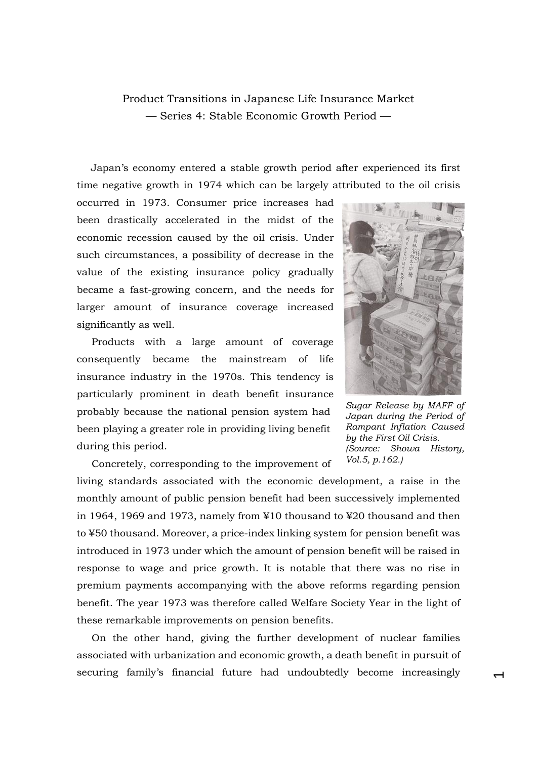## Product Transitions in Japanese Life Insurance Market — Series 4: Stable Economic Growth Period —

Japan's economy entered a stable growth period after experienced its first time negative growth in 1974 which can be largely attributed to the oil crisis

occurred in 1973. Consumer price increases had been drastically accelerated in the midst of the economic recession caused by the oil crisis. Under such circumstances, a possibility of decrease in the value of the existing insurance policy gradually became a fast-growing concern, and the needs for larger amount of insurance coverage increased significantly as well.

Products with a large amount of coverage consequently became the mainstream of life insurance industry in the 1970s. This tendency is particularly prominent in death benefit insurance probably because the national pension system had been playing a greater role in providing living benefit during this period.

Concretely, corresponding to the improvement of



*Sugar Release by MAFF of Japan during the Period of Rampant Inflation Caused by the First Oil Crisis. (Source: Showa History, Vol.5, p.162.)*

 $\overline{\phantom{0}}$ 

living standards associated with the economic development, a raise in the monthly amount of public pension benefit had been successively implemented in 1964, 1969 and 1973, namely from ¥10 thousand to ¥20 thousand and then to ¥50 thousand. Moreover, a price-index linking system for pension benefit was introduced in 1973 under which the amount of pension benefit will be raised in response to wage and price growth. It is notable that there was no rise in premium payments accompanying with the above reforms regarding pension benefit. The year 1973 was therefore called Welfare Society Year in the light of these remarkable improvements on pension benefits.

On the other hand, giving the further development of nuclear families associated with urbanization and economic growth, a death benefit in pursuit of securing family's financial future had undoubtedly become increasingly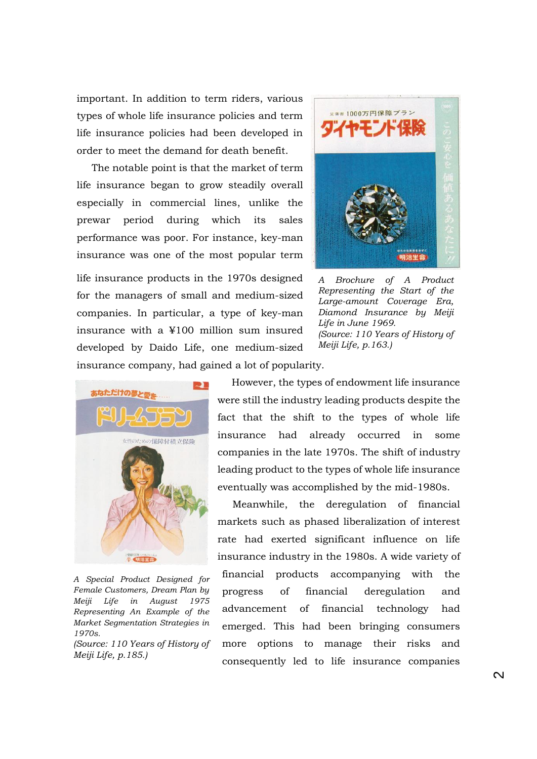important. In addition to term riders, various types of whole life insurance policies and term life insurance policies had been developed in order to meet the demand for death benefit.

The notable point is that the market of term life insurance began to grow steadily overall especially in commercial lines, unlike the prewar period during which its sales performance was poor. For instance, key-man insurance was one of the most popular term

life insurance products in the 1970s designed for the managers of small and medium-sized companies. In particular, a type of key-man insurance with a ¥100 million sum insured developed by Daido Life, one medium-sized insurance company, had gained a lot of popularity.



*A Brochure of A Product Representing the Start of the Large-amount Coverage Era, Diamond Insurance by Meiji Life in June 1969. (Source: 110 Years of History of Meiji Life, p.163.)*





*A Special Product Designed for Female Customers, Dream Plan by Meiji Life in August 1975 Representing An Example of the Market Segmentation Strategies in 1970s.*

*(Source: 110 Years of History of Meiji Life, p.185.)*

However, the types of endowment life insurance were still the industry leading products despite the fact that the shift to the types of whole life insurance had already occurred in some companies in the late 1970s. The shift of industry leading product to the types of whole life insurance eventually was accomplished by the mid-1980s.

Meanwhile, the deregulation of financial markets such as phased liberalization of interest rate had exerted significant influence on life insurance industry in the 1980s. A wide variety of financial products accompanying with the progress of financial deregulation and advancement of financial technology had emerged. This had been bringing consumers more options to manage their risks and consequently led to life insurance companies